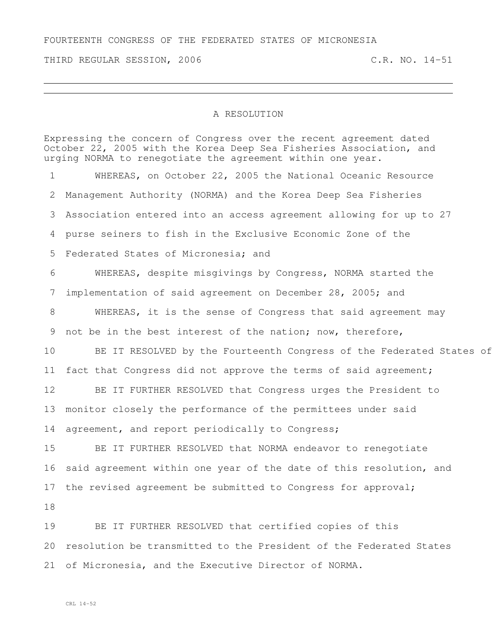THIRD REGULAR SESSION, 2006 C.R. NO. 14-51

## A RESOLUTION

Expressing the concern of Congress over the recent agreement dated October 22, 2005 with the Korea Deep Sea Fisheries Association, and urging NORMA to renegotiate the agreement within one year.

 WHEREAS, on October 22, 2005 the National Oceanic Resource Management Authority (NORMA) and the Korea Deep Sea Fisheries Association entered into an access agreement allowing for up to 27 purse seiners to fish in the Exclusive Economic Zone of the Federated States of Micronesia; and WHEREAS, despite misgivings by Congress, NORMA started the implementation of said agreement on December 28, 2005; and WHEREAS, it is the sense of Congress that said agreement may not be in the best interest of the nation; now, therefore, 10 BE IT RESOLVED by the Fourteenth Congress of the Federated States of fact that Congress did not approve the terms of said agreement; BE IT FURTHER RESOLVED that Congress urges the President to monitor closely the performance of the permittees under said 14 agreement, and report periodically to Congress; BE IT FURTHER RESOLVED that NORMA endeavor to renegotiate said agreement within one year of the date of this resolution, and 17 the revised agreement be submitted to Congress for approval; BE IT FURTHER RESOLVED that certified copies of this

 resolution be transmitted to the President of the Federated States of Micronesia, and the Executive Director of NORMA.